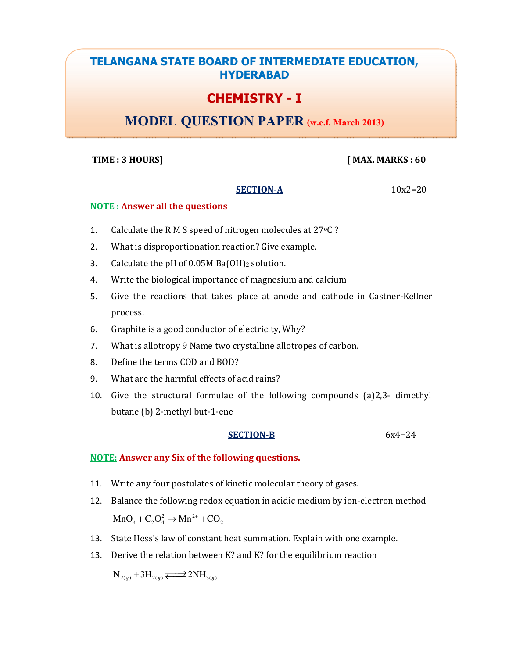## TELANGANA STATE BOARD OF INTERMEDIATE EDUCATION, HYDERABAD

# CHEMISTRY - I

# MODEL QUESTION PAPER (w.e.f. March 2013)

## TIME : 3 HOURS] [MAX. MARKS : 60]

### $SECTION-A$   $10x2=20$

### NOTE : Answer all the questions

- 1. Calculate the R M S speed of nitrogen molecules at 27 °C?
- 2. What is disproportionation reaction? Give example.
- 3. Calculate the pH of  $0.05M$  Ba $(OH)_2$  solution.
- 4. Write the biological importance of magnesium and calcium
- 5. Give the reactions that takes place at anode and cathode in Castner-Kellner process.
- 6. Graphite is a good conductor of electricity, Why?
- 7. What is allotropy 9 Name two crystalline allotropes of carbon.
- 8. Define the terms COD and BOD?
- 9. What are the harmful effects of acid rains?
- 10. Give the structural formulae of the following compounds (a)2,3- dimethyl butane (b) 2-methyl but-1-ene

#### SECTION-B 6x4=24

## NOTE: Answer any Six of the following questions.

- 11. Write any four postulates of kinetic molecular theory of gases.
- 12. Balance the following redox equation in acidic medium by ion-electron method  $MnO<sub>4</sub> + C<sub>2</sub>O<sub>4</sub><sup>2</sup> \rightarrow Mn<sup>2+</sup> + CO<sub>2</sub>$
- 13. State Hess's law of constant heat summation. Explain with one example.
- 13. Derive the relation between K? and K? for the equilibrium reaction

 $N_{2(g)} + 3H_{2(g)} \rightleftarrows 2NH_{3(g)}$